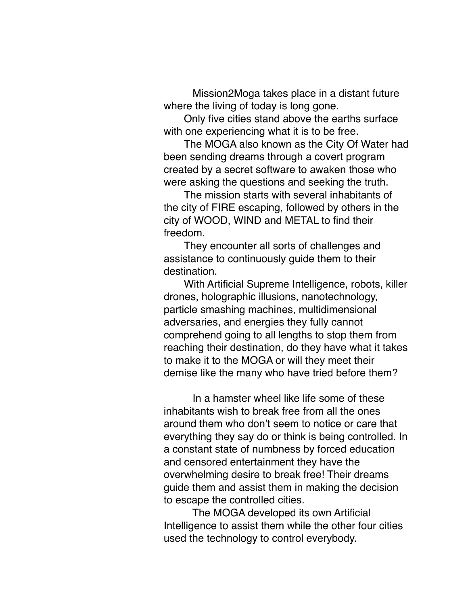Mission2Moga takes place in a distant future where the living of today is long gone.

Only five cities stand above the earths surface with one experiencing what it is to be free.

The MOGA also known as the City Of Water had been sending dreams through a covert program created by a secret software to awaken those who were asking the questions and seeking the truth.

The mission starts with several inhabitants of the city of FIRE escaping, followed by others in the city of WOOD, WIND and METAL to find their freedom.

They encounter all sorts of challenges and assistance to continuously guide them to their destination.

With Artificial Supreme Intelligence, robots, killer drones, holographic illusions, nanotechnology, particle smashing machines, multidimensional adversaries, and energies they fully cannot comprehend going to all lengths to stop them from reaching their destination, do they have what it takes to make it to the MOGA or will they meet their demise like the many who have tried before them?

 In a hamster wheel like life some of these inhabitants wish to break free from all the ones around them who don't seem to notice or care that everything they say do or think is being controlled. In a constant state of numbness by forced education and censored entertainment they have the overwhelming desire to break free! Their dreams guide them and assist them in making the decision to escape the controlled cities.

 The MOGA developed its own Artificial Intelligence to assist them while the other four cities used the technology to control everybody.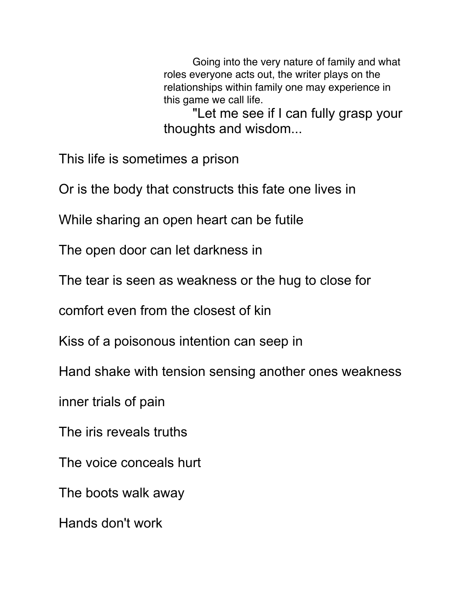Going into the very nature of family and what roles everyone acts out, the writer plays on the relationships within family one may experience in this game we call life.

 "Let me see if I can fully grasp your thoughts and wisdom...

This life is sometimes a prison

Or is the body that constructs this fate one lives in

While sharing an open heart can be futile

The open door can let darkness in

The tear is seen as weakness or the hug to close for

comfort even from the closest of kin

Kiss of a poisonous intention can seep in

Hand shake with tension sensing another ones weakness

inner trials of pain

The iris reveals truths

The voice conceals hurt

The boots walk away

Hands don't work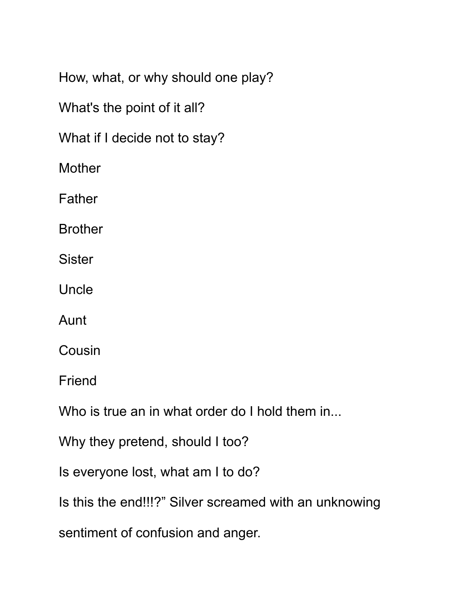How, what, or why should one play?

What's the point of it all?

What if I decide not to stay?

**Mother** 

Father

Brother

**Sister** 

Uncle

Aunt

Cousin

Friend

Who is true an in what order do I hold them in...

Why they pretend, should I too?

Is everyone lost, what am I to do?

Is this the end!!!?" Silver screamed with an unknowing

sentiment of confusion and anger.